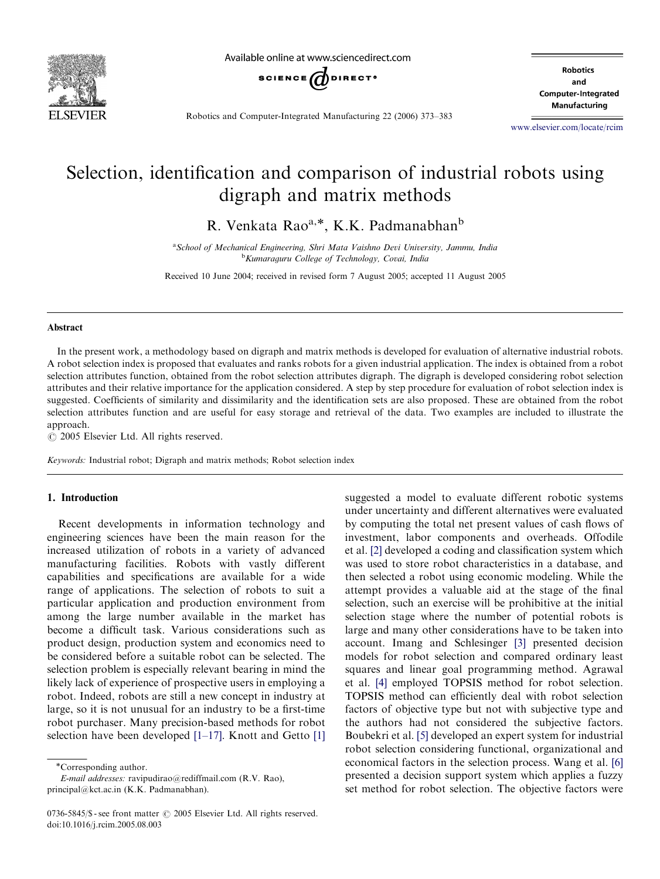

Available online at www.sciencedirect.com



**Robotics** and **Computer-Integrated** Manufacturing

Robotics and Computer-Integrated Manufacturing 22 (2006) 373–383

<www.elsevier.com/locate/rcim>

## Selection, identification and comparison of industrial robots using digraph and matrix methods

R. Venkata Rao<sup>a,\*</sup>, K.K. Padmanabhan<sup>b</sup>

<sup>a</sup> School of Mechanical Engineering, Shri Mata Vaishno Devi University, Jammu, India <sup>b</sup> Kumaraguru College of Technology, Covai, India

Received 10 June 2004; received in revised form 7 August 2005; accepted 11 August 2005

#### Abstract

In the present work, a methodology based on digraph and matrix methods is developed for evaluation of alternative industrial robots. A robot selection index is proposed that evaluates and ranks robots for a given industrial application. The index is obtained from a robot selection attributes function, obtained from the robot selection attributes digraph. The digraph is developed considering robot selection attributes and their relative importance for the application considered. A step by step procedure for evaluation of robot selection index is suggested. Coefficients of similarity and dissimilarity and the identification sets are also proposed. These are obtained from the robot selection attributes function and are useful for easy storage and retrieval of the data. Two examples are included to illustrate the approach.

 $\odot$  2005 Elsevier Ltd. All rights reserved.

Keywords: Industrial robot; Digraph and matrix methods; Robot selection index

## 1. Introduction

Recent developments in information technology and engineering sciences have been the main reason for the increased utilization of robots in a variety of advanced manufacturing facilities. Robots with vastly different capabilities and specifications are available for a wide range of applications. The selection of robots to suit a particular application and production environment from among the large number available in the market has become a difficult task. Various considerations such as product design, production system and economics need to be considered before a suitable robot can be selected. The selection problem is especially relevant bearing in mind the likely lack of experience of prospective users in employing a robot. Indeed, robots are still a new concept in industry at large, so it is not unusual for an industry to be a first-time robot purchaser. Many precision-based methods for robot selection have been developed [\[1–17\]](#page--1-0). Knott and Getto [\[1\]](#page--1-0)

E-mail addresses: ravipudirao@rediffmail.com (R.V. Rao), principal@kct.ac.in (K.K. Padmanabhan).

suggested a model to evaluate different robotic systems under uncertainty and different alternatives were evaluated by computing the total net present values of cash flows of investment, labor components and overheads. Offodile et al. [\[2\]](#page--1-0) developed a coding and classification system which was used to store robot characteristics in a database, and then selected a robot using economic modeling. While the attempt provides a valuable aid at the stage of the final selection, such an exercise will be prohibitive at the initial selection stage where the number of potential robots is large and many other considerations have to be taken into account. Imang and Schlesinger [\[3\]](#page--1-0) presented decision models for robot selection and compared ordinary least squares and linear goal programming method. Agrawal et al. [\[4\]](#page--1-0) employed TOPSIS method for robot selection. TOPSIS method can efficiently deal with robot selection factors of objective type but not with subjective type and the authors had not considered the subjective factors. Boubekri et al. [\[5\]](#page--1-0) developed an expert system for industrial robot selection considering functional, organizational and economical factors in the selection process. Wang et al. [\[6\]](#page--1-0) presented a decision support system which applies a fuzzy set method for robot selection. The objective factors were

Corresponding author.

<sup>0736-5845/\$ -</sup> see front matter  $\odot$  2005 Elsevier Ltd. All rights reserved. doi:10.1016/j.rcim.2005.08.003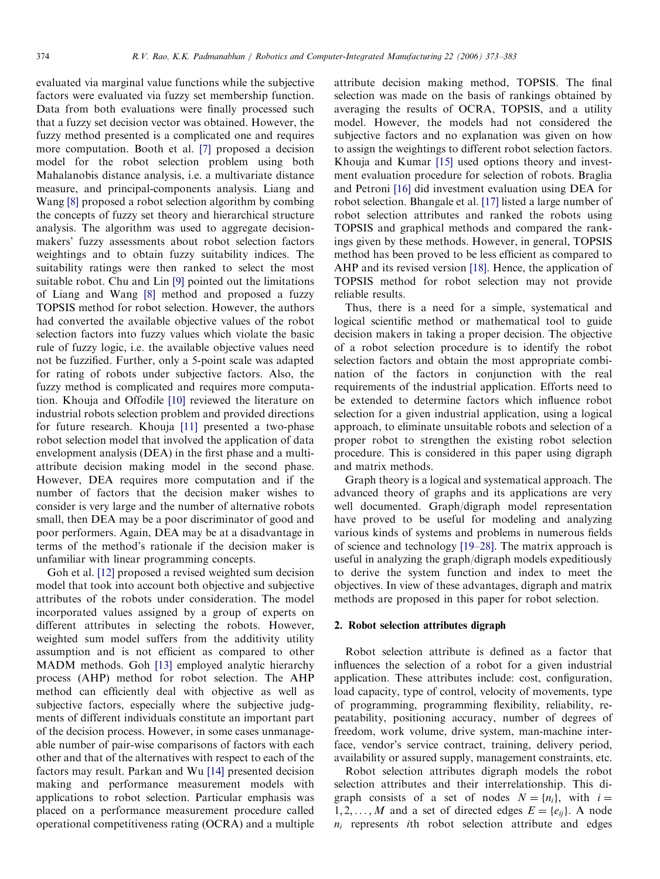evaluated via marginal value functions while the subjective factors were evaluated via fuzzy set membership function. Data from both evaluations were finally processed such that a fuzzy set decision vector was obtained. However, the fuzzy method presented is a complicated one and requires more computation. Booth et al. [\[7\]](#page--1-0) proposed a decision model for the robot selection problem using both Mahalanobis distance analysis, i.e. a multivariate distance measure, and principal-components analysis. Liang and Wang [\[8\]](#page--1-0) proposed a robot selection algorithm by combing the concepts of fuzzy set theory and hierarchical structure analysis. The algorithm was used to aggregate decisionmakers' fuzzy assessments about robot selection factors weightings and to obtain fuzzy suitability indices. The suitability ratings were then ranked to select the most suitable robot. Chu and Lin [\[9\]](#page--1-0) pointed out the limitations of Liang and Wang [\[8\]](#page--1-0) method and proposed a fuzzy TOPSIS method for robot selection. However, the authors had converted the available objective values of the robot selection factors into fuzzy values which violate the basic rule of fuzzy logic, i.e. the available objective values need not be fuzzified. Further, only a 5-point scale was adapted for rating of robots under subjective factors. Also, the fuzzy method is complicated and requires more computation. Khouja and Offodile [\[10\]](#page--1-0) reviewed the literature on industrial robots selection problem and provided directions for future research. Khouja [\[11\]](#page--1-0) presented a two-phase robot selection model that involved the application of data envelopment analysis (DEA) in the first phase and a multiattribute decision making model in the second phase. However, DEA requires more computation and if the number of factors that the decision maker wishes to consider is very large and the number of alternative robots small, then DEA may be a poor discriminator of good and poor performers. Again, DEA may be at a disadvantage in terms of the method's rationale if the decision maker is unfamiliar with linear programming concepts.

Goh et al. [\[12\]](#page--1-0) proposed a revised weighted sum decision model that took into account both objective and subjective attributes of the robots under consideration. The model incorporated values assigned by a group of experts on different attributes in selecting the robots. However, weighted sum model suffers from the additivity utility assumption and is not efficient as compared to other MADM methods. Goh [\[13\]](#page--1-0) employed analytic hierarchy process (AHP) method for robot selection. The AHP method can efficiently deal with objective as well as subjective factors, especially where the subjective judgments of different individuals constitute an important part of the decision process. However, in some cases unmanageable number of pair-wise comparisons of factors with each other and that of the alternatives with respect to each of the factors may result. Parkan and Wu [\[14\]](#page--1-0) presented decision making and performance measurement models with applications to robot selection. Particular emphasis was placed on a performance measurement procedure called operational competitiveness rating (OCRA) and a multiple

attribute decision making method, TOPSIS. The final selection was made on the basis of rankings obtained by averaging the results of OCRA, TOPSIS, and a utility model. However, the models had not considered the subjective factors and no explanation was given on how to assign the weightings to different robot selection factors. Khouja and Kumar [\[15\]](#page--1-0) used options theory and investment evaluation procedure for selection of robots. Braglia and Petroni [\[16\]](#page--1-0) did investment evaluation using DEA for robot selection. Bhangale et al. [\[17\]](#page--1-0) listed a large number of robot selection attributes and ranked the robots using TOPSIS and graphical methods and compared the rankings given by these methods. However, in general, TOPSIS method has been proved to be less efficient as compared to AHP and its revised version [\[18\]](#page--1-0). Hence, the application of TOPSIS method for robot selection may not provide reliable results.

Thus, there is a need for a simple, systematical and logical scientific method or mathematical tool to guide decision makers in taking a proper decision. The objective of a robot selection procedure is to identify the robot selection factors and obtain the most appropriate combination of the factors in conjunction with the real requirements of the industrial application. Efforts need to be extended to determine factors which influence robot selection for a given industrial application, using a logical approach, to eliminate unsuitable robots and selection of a proper robot to strengthen the existing robot selection procedure. This is considered in this paper using digraph and matrix methods.

Graph theory is a logical and systematical approach. The advanced theory of graphs and its applications are very well documented. Graph/digraph model representation have proved to be useful for modeling and analyzing various kinds of systems and problems in numerous fields of science and technology [\[19–28\].](#page--1-0) The matrix approach is useful in analyzing the graph/digraph models expeditiously to derive the system function and index to meet the objectives. In view of these advantages, digraph and matrix methods are proposed in this paper for robot selection.

### 2. Robot selection attributes digraph

Robot selection attribute is defined as a factor that influences the selection of a robot for a given industrial application. These attributes include: cost, configuration, load capacity, type of control, velocity of movements, type of programming, programming flexibility, reliability, repeatability, positioning accuracy, number of degrees of freedom, work volume, drive system, man-machine interface, vendor's service contract, training, delivery period, availability or assured supply, management constraints, etc.

Robot selection attributes digraph models the robot selection attributes and their interrelationship. This digraph consists of a set of nodes  $N = \{n_i\}$ , with  $i =$  $1, 2, \ldots, M$  and a set of directed edges  $E = \{e_{ii}\}\)$ . A node  $n_i$  represents ith robot selection attribute and edges